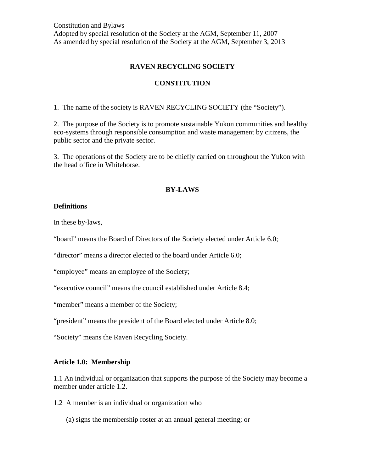### **RAVEN RECYCLING SOCIETY**

#### **CONSTITUTION**

1. The name of the society is RAVEN RECYCLING SOCIETY (the "Society").

2. The purpose of the Society is to promote sustainable Yukon communities and healthy eco-systems through responsible consumption and waste management by citizens, the public sector and the private sector.

3. The operations of the Society are to be chiefly carried on throughout the Yukon with the head office in Whitehorse.

### **BY-LAWS**

#### **Definitions**

In these by-laws,

"board" means the Board of Directors of the Society elected under Article 6.0;

"director" means a director elected to the board under Article 6.0;

"employee" means an employee of the Society;

"executive council" means the council established under Article 8.4;

"member" means a member of the Society;

"president" means the president of the Board elected under Article 8.0;

"Society" means the Raven Recycling Society.

#### **Article 1.0: Membership**

1.1 An individual or organization that supports the purpose of the Society may become a member under article 1.2.

- 1.2 A member is an individual or organization who
	- (a) signs the membership roster at an annual general meeting; or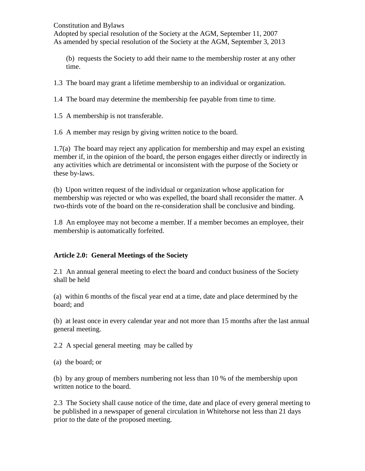(b) requests the Society to add their name to the membership roster at any other time.

1.3 The board may grant a lifetime membership to an individual or organization.

1.4 The board may determine the membership fee payable from time to time.

1.5 A membership is not transferable.

1.6 A member may resign by giving written notice to the board.

1.7(a) The board may reject any application for membership and may expel an existing member if, in the opinion of the board, the person engages either directly or indirectly in any activities which are detrimental or inconsistent with the purpose of the Society or these by-laws.

(b) Upon written request of the individual or organization whose application for membership was rejected or who was expelled, the board shall reconsider the matter. A two-thirds vote of the board on the re-consideration shall be conclusive and binding.

1.8 An employee may not become a member. If a member becomes an employee, their membership is automatically forfeited.

# **Article 2.0: General Meetings of the Society**

2.1 An annual general meeting to elect the board and conduct business of the Society shall be held

(a) within 6 months of the fiscal year end at a time, date and place determined by the board; and

(b) at least once in every calendar year and not more than 15 months after the last annual general meeting.

2.2 A special general meeting may be called by

(a) the board; or

(b) by any group of members numbering not less than 10 % of the membership upon written notice to the board.

2.3 The Society shall cause notice of the time, date and place of every general meeting to be published in a newspaper of general circulation in Whitehorse not less than 21 days prior to the date of the proposed meeting.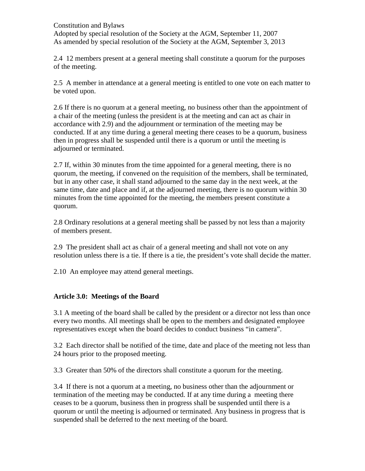2.4 12 members present at a general meeting shall constitute a quorum for the purposes of the meeting.

2.5 A member in attendance at a general meeting is entitled to one vote on each matter to be voted upon.

2.6 If there is no quorum at a general meeting, no business other than the appointment of a chair of the meeting (unless the president is at the meeting and can act as chair in accordance with 2.9) and the adjournment or termination of the meeting may be conducted. If at any time during a general meeting there ceases to be a quorum, business then in progress shall be suspended until there is a quorum or until the meeting is adjourned or terminated.

2.7 If, within 30 minutes from the time appointed for a general meeting, there is no quorum, the meeting, if convened on the requisition of the members, shall be terminated, but in any other case, it shall stand adjourned to the same day in the next week, at the same time, date and place and if, at the adjourned meeting, there is no quorum within 30 minutes from the time appointed for the meeting, the members present constitute a quorum.

2.8 Ordinary resolutions at a general meeting shall be passed by not less than a majority of members present.

2.9 The president shall act as chair of a general meeting and shall not vote on any resolution unless there is a tie. If there is a tie, the president's vote shall decide the matter.

2.10 An employee may attend general meetings.

# **Article 3.0: Meetings of the Board**

3.1 A meeting of the board shall be called by the president or a director not less than once every two months. All meetings shall be open to the members and designated employee representatives except when the board decides to conduct business "in camera".

3.2 Each director shall be notified of the time, date and place of the meeting not less than 24 hours prior to the proposed meeting.

3.3 Greater than 50% of the directors shall constitute a quorum for the meeting.

3.4 If there is not a quorum at a meeting, no business other than the adjournment or termination of the meeting may be conducted. If at any time during a meeting there ceases to be a quorum, business then in progress shall be suspended until there is a quorum or until the meeting is adjourned or terminated. Any business in progress that is suspended shall be deferred to the next meeting of the board.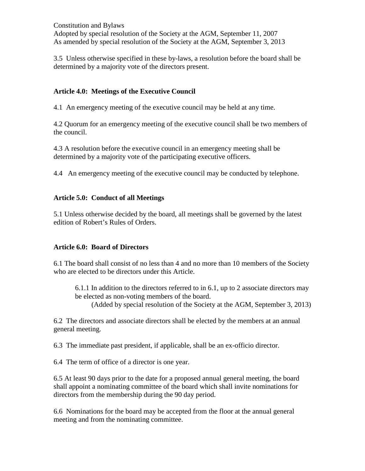3.5 Unless otherwise specified in these by-laws, a resolution before the board shall be determined by a majority vote of the directors present.

### **Article 4.0: Meetings of the Executive Council**

4.1 An emergency meeting of the executive council may be held at any time.

4.2 Quorum for an emergency meeting of the executive council shall be two members of the council.

4.3 A resolution before the executive council in an emergency meeting shall be determined by a majority vote of the participating executive officers.

4.4 An emergency meeting of the executive council may be conducted by telephone.

### **Article 5.0: Conduct of all Meetings**

5.1 Unless otherwise decided by the board, all meetings shall be governed by the latest edition of Robert's Rules of Orders.

### **Article 6.0: Board of Directors**

6.1 The board shall consist of no less than 4 and no more than 10 members of the Society who are elected to be directors under this Article.

6.1.1 In addition to the directors referred to in 6.1, up to 2 associate directors may be elected as non-voting members of the board.

(Added by special resolution of the Society at the AGM, September 3, 2013)

6.2 The directors and associate directors shall be elected by the members at an annual general meeting.

6.3 The immediate past president, if applicable, shall be an ex-officio director.

6.4 The term of office of a director is one year.

6.5 At least 90 days prior to the date for a proposed annual general meeting, the board shall appoint a nominating committee of the board which shall invite nominations for directors from the membership during the 90 day period.

6.6 Nominations for the board may be accepted from the floor at the annual general meeting and from the nominating committee.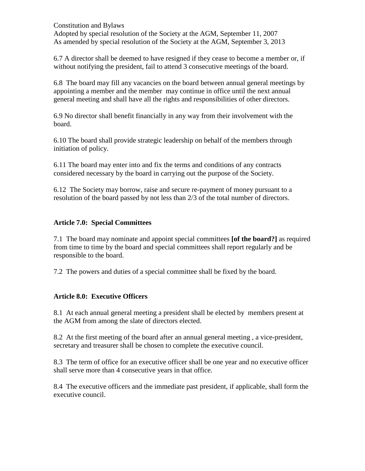6.7 A director shall be deemed to have resigned if they cease to become a member or, if without notifying the president, fail to attend 3 consecutive meetings of the board.

6.8 The board may fill any vacancies on the board between annual general meetings by appointing a member and the member may continue in office until the next annual general meeting and shall have all the rights and responsibilities of other directors.

6.9 No director shall benefit financially in any way from their involvement with the board.

6.10 The board shall provide strategic leadership on behalf of the members through initiation of policy.

6.11 The board may enter into and fix the terms and conditions of any contracts considered necessary by the board in carrying out the purpose of the Society.

6.12 The Society may borrow, raise and secure re-payment of money pursuant to a resolution of the board passed by not less than 2/3 of the total number of directors.

# **Article 7.0: Special Committees**

7.1 The board may nominate and appoint special committees **[of the board?]** as required from time to time by the board and special committees shall report regularly and be responsible to the board.

7.2 The powers and duties of a special committee shall be fixed by the board.

# **Article 8.0: Executive Officers**

8.1 At each annual general meeting a president shall be elected by members present at the AGM from among the slate of directors elected.

8.2 At the first meeting of the board after an annual general meeting , a vice-president, secretary and treasurer shall be chosen to complete the executive council.

8.3 The term of office for an executive officer shall be one year and no executive officer shall serve more than 4 consecutive years in that office.

8.4 The executive officers and the immediate past president, if applicable, shall form the executive council.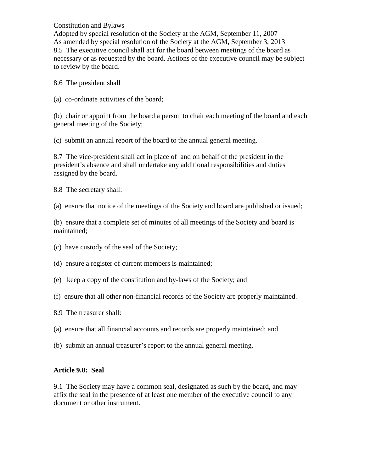Constitution and Bylaws

Adopted by special resolution of the Society at the AGM, September 11, 2007 As amended by special resolution of the Society at the AGM, September 3, 2013 8.5 The executive council shall act for the board between meetings of the board as necessary or as requested by the board. Actions of the executive council may be subject to review by the board.

8.6 The president shall

(a) co-ordinate activities of the board;

(b) chair or appoint from the board a person to chair each meeting of the board and each general meeting of the Society;

(c) submit an annual report of the board to the annual general meeting.

8.7 The vice-president shall act in place of and on behalf of the president in the president's absence and shall undertake any additional responsibilities and duties assigned by the board.

8.8 The secretary shall:

(a) ensure that notice of the meetings of the Society and board are published or issued;

(b) ensure that a complete set of minutes of all meetings of the Society and board is maintained;

(c) have custody of the seal of the Society;

(d) ensure a register of current members is maintained;

- (e) keep a copy of the constitution and by-laws of the Society; and
- (f) ensure that all other non-financial records of the Society are properly maintained.
- 8.9 The treasurer shall:
- (a) ensure that all financial accounts and records are properly maintained; and
- (b) submit an annual treasurer's report to the annual general meeting.

### **Article 9.0: Seal**

9.1 The Society may have a common seal, designated as such by the board, and may affix the seal in the presence of at least one member of the executive council to any document or other instrument.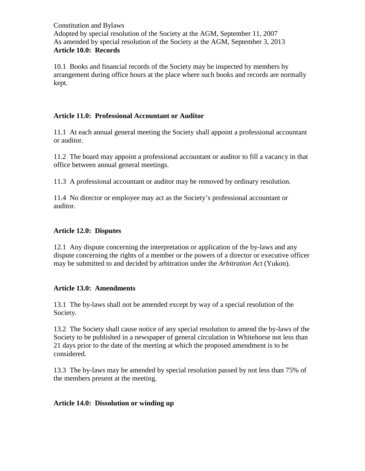10.1 Books and financial records of the Society may be inspected by members by arrangement during office hours at the place where such books and records are normally kept.

# **Article 11.0: Professional Accountant or Auditor**

11.1 At each annual general meeting the Society shall appoint a professional accountant or auditor.

11.2 The board may appoint a professional accountant or auditor to fill a vacancy in that office between annual general meetings.

11.3 A professional accountant or auditor may be removed by ordinary resolution.

11.4 No director or employee may act as the Society's professional accountant or auditor.

# **Article 12.0: Disputes**

12.1 Any dispute concerning the interpretation or application of the by-laws and any dispute concerning the rights of a member or the powers of a director or executive officer may be submitted to and decided by arbitration under the *Arbitration Act* (Yukon).

# **Article 13.0: Amendments**

13.1 The by-laws shall not be amended except by way of a special resolution of the Society.

13.2 The Society shall cause notice of any special resolution to amend the by-laws of the Society to be published in a newspaper of general circulation in Whitehorse not less than 21 days prior to the date of the meeting at which the proposed amendment is to be considered.

13.3 The by-laws may be amended by special resolution passed by not less than 75% of the members present at the meeting.

# **Article 14.0: Dissolution or winding up**